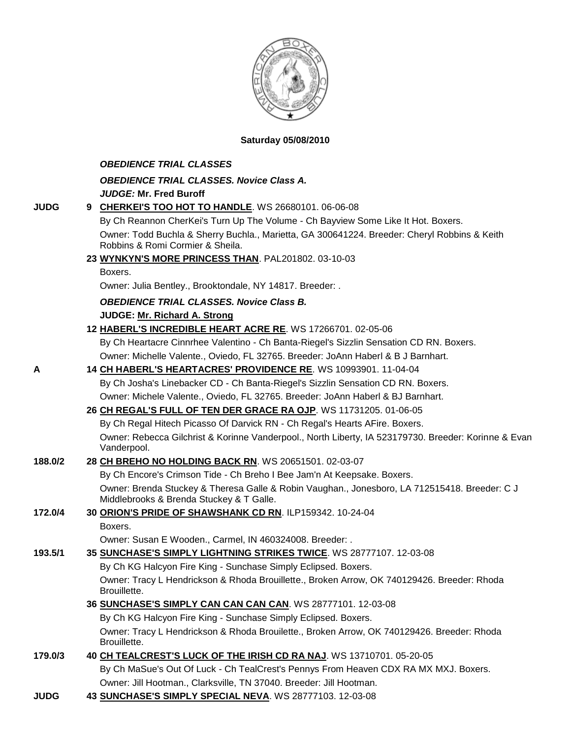

#### **Saturday 05/08/2010**

#### *OBEDIENCE TRIAL CLASSES*

*OBEDIENCE TRIAL CLASSES. Novice Class A.*

*JUDGE:* **Mr. Fred Buroff**

| <b>JUDG</b> |  | 9 CHERKEI'S TOO HOT TO HANDLE. WS 26680101. 06-06-08 |
|-------------|--|------------------------------------------------------|
|-------------|--|------------------------------------------------------|

By Ch Reannon CherKei's Turn Up The Volume - Ch Bayview Some Like It Hot. Boxers. Owner: Todd Buchla & Sherry Buchla., Marietta, GA 300641224. Breeder: Cheryl Robbins & Keith Robbins & Romi Cormier & Sheila.

#### **23 [WYNKYN'S MORE PRINCESS THAN](http://canis.infodog.com/files/bdogrsl1.prg;makc=PAL201802;mdog=Wynkyn_s_More_Princess_Than;wins=all)**. PAL201802. 03-10-03

Boxers.

Owner: Julia Bentley., Brooktondale, NY 14817. Breeder: .

*OBEDIENCE TRIAL CLASSES. Novice Class B.*

**JUDGE: [Mr. Richard A. Strong](http://www.infodog.com/judges/2197/juddat.htm)** 

**12 [HABERL'S INCREDIBLE HEART ACRE RE](http://canis.infodog.com/files/bdogrsl1.prg;makc=WS_17266701;mdog=Haberl_s_Incredible_Heart_Acre_RE;wins=all)**. WS 17266701. 02-05-06

By Ch Heartacre Cinnrhee Valentino - Ch Banta-Riegel's Sizzlin Sensation CD RN. Boxers. Owner: Michelle Valente., Oviedo, FL 32765. Breeder: JoAnn Haberl & B J Barnhart.

#### **A 14 [CH HABERL'S HEARTACRES' PROVIDENCE RE](http://canis.infodog.com/files/bdogrsl1.prg;makc=WS_10993901;mdog=Ch_Haberl_s_Heartacres__Providence_RE;wins=all)**. WS 10993901. 11-04-04

By Ch Josha's Linebacker CD - Ch Banta-Riegel's Sizzlin Sensation CD RN. Boxers. Owner: Michele Valente., Oviedo, FL 32765. Breeder: JoAnn Haberl & BJ Barnhart.

#### **26 [CH REGAL'S FULL OF TEN DER GRACE RA OJP](http://canis.infodog.com/files/bdogrsl1.prg;makc=WS_11731205;mdog=Ch_Regal_s_Full_Of_Ten_Der_Grace_RA_OJP;wins=all)**. WS 11731205. 01-06-05

By Ch Regal Hitech Picasso Of Darvick RN - Ch Regal's Hearts AFire. Boxers. Owner: Rebecca Gilchrist & Korinne Vanderpool., North Liberty, IA 523179730. Breeder: Korinne & Evan Vanderpool.

#### **188.0/2 28 [CH BREHO NO HOLDING BACK RN](http://canis.infodog.com/files/bdogrsl1.prg;makc=WS_20651501;mdog=Ch_Breho_No_Holding_Back_RN;wins=all)**. WS 20651501. 02-03-07

By Ch Encore's Crimson Tide - Ch Breho I Bee Jam'n At Keepsake. Boxers. Owner: Brenda Stuckey & Theresa Galle & Robin Vaughan., Jonesboro, LA 712515418. Breeder: C J Middlebrooks & Brenda Stuckey & T Galle.

# **172.0/4 30 [ORION'S PRIDE OF SHAWSHANK CD RN](http://canis.infodog.com/files/bdogrsl1.prg;makc=ILP159342;mdog=Orion_s_Pride_Of_Shawshank_CD_RN;wins=all)**. ILP159342. 10-24-04

Boxers.

Owner: Susan E Wooden., Carmel, IN 460324008. Breeder: .

### **193.5/1 35 [SUNCHASE'S SIMPLY LIGHTNING STRIKES TWICE](http://canis.infodog.com/files/bdogrsl1.prg;makc=WS_28777107;mdog=Sunchase_s_Simply_Lightning_Strikes_Twice;wins=all)**. WS 28777107. 12-03-08

By Ch KG Halcyon Fire King - Sunchase Simply Eclipsed. Boxers. Owner: Tracy L Hendrickson & Rhoda Brouillette., Broken Arrow, OK 740129426. Breeder: Rhoda Brouillette.

**36 [SUNCHASE'S SIMPLY CAN CAN CAN CAN](http://canis.infodog.com/files/bdogrsl1.prg;makc=WS_28777101;mdog=Sunchase_s_Simply_Can_Can_Can_Can;wins=all)**. WS 28777101. 12-03-08

By Ch KG Halcyon Fire King - Sunchase Simply Eclipsed. Boxers.

Owner: Tracy L Hendrickson & Rhoda Brouilette., Broken Arrow, OK 740129426. Breeder: Rhoda Brouillette.

## **179.0/3 40 [CH TEALCREST'S LUCK OF THE IRISH CD RA NAJ](http://canis.infodog.com/files/bdogrsl1.prg;makc=WS_13710701;mdog=Ch_TealCrest_s_Luck_Of_The_Irish_CD_RA_NAJ;wins=all)**. WS 13710701. 05-20-05 By Ch MaSue's Out Of Luck - Ch TealCrest's Pennys From Heaven CDX RA MX MXJ. Boxers.

Owner: Jill Hootman., Clarksville, TN 37040. Breeder: Jill Hootman.

**JUDG 43 [SUNCHASE'S SIMPLY SPECIAL NEVA](http://canis.infodog.com/files/bdogrsl1.prg;makc=WS_28777103;mdog=Sunchase_s_Simply_Special_Neva;wins=all)**. WS 28777103. 12-03-08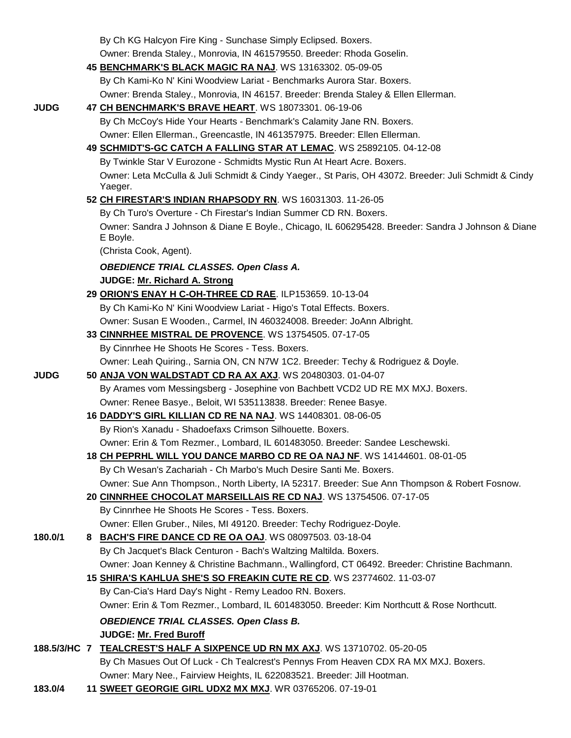|              |    | By Ch KG Halcyon Fire King - Sunchase Simply Eclipsed. Boxers.                                                 |
|--------------|----|----------------------------------------------------------------------------------------------------------------|
|              |    | Owner: Brenda Staley., Monrovia, IN 461579550. Breeder: Rhoda Goselin.                                         |
|              |    | 45 BENCHMARK'S BLACK MAGIC RA NAJ. WS 13163302. 05-09-05                                                       |
|              |    | By Ch Kami-Ko N' Kini Woodview Lariat - Benchmarks Aurora Star. Boxers.                                        |
|              |    | Owner: Brenda Staley., Monrovia, IN 46157. Breeder: Brenda Staley & Ellen Ellerman.                            |
| <b>JUDG</b>  |    | 47 CH BENCHMARK'S BRAVE HEART. WS 18073301. 06-19-06                                                           |
|              |    | By Ch McCoy's Hide Your Hearts - Benchmark's Calamity Jane RN. Boxers.                                         |
|              |    | Owner: Ellen Ellerman., Greencastle, IN 461357975. Breeder: Ellen Ellerman.                                    |
|              |    | 49 SCHMIDT'S-GC CATCH A FALLING STAR AT LEMAC. WS 25892105. 04-12-08                                           |
|              |    | By Twinkle Star V Eurozone - Schmidts Mystic Run At Heart Acre. Boxers.                                        |
|              |    | Owner: Leta McCulla & Juli Schmidt & Cindy Yaeger., St Paris, OH 43072. Breeder: Juli Schmidt & Cindy          |
|              |    | Yaeger.                                                                                                        |
|              |    | 52 CH FIRESTAR'S INDIAN RHAPSODY RN. WS 16031303. 11-26-05                                                     |
|              |    | By Ch Turo's Overture - Ch Firestar's Indian Summer CD RN. Boxers.                                             |
|              |    | Owner: Sandra J Johnson & Diane E Boyle., Chicago, IL 606295428. Breeder: Sandra J Johnson & Diane<br>E Boyle. |
|              |    | (Christa Cook, Agent).                                                                                         |
|              |    | <b>OBEDIENCE TRIAL CLASSES. Open Class A.</b>                                                                  |
|              |    | JUDGE: Mr. Richard A. Strong                                                                                   |
|              |    | 29 ORION'S ENAY H C-OH-THREE CD RAE. ILP153659. 10-13-04                                                       |
|              |    | By Ch Kami-Ko N' Kini Woodview Lariat - Higo's Total Effects. Boxers.                                          |
|              |    | Owner: Susan E Wooden., Carmel, IN 460324008. Breeder: JoAnn Albright.                                         |
|              |    | 33 CINNRHEE MISTRAL DE PROVENCE. WS 13754505. 07-17-05                                                         |
|              |    | By Cinnrhee He Shoots He Scores - Tess. Boxers.                                                                |
|              |    | Owner: Leah Quiring., Sarnia ON, CN N7W 1C2. Breeder: Techy & Rodriguez & Doyle.                               |
| <b>JUDG</b>  |    | 50 ANJA VON WALDSTADT CD RA AX AXJ. WS 20480303. 01-04-07                                                      |
|              |    | By Arames vom Messingsberg - Josephine von Bachbett VCD2 UD RE MX MXJ. Boxers.                                 |
|              |    | Owner: Renee Basye., Beloit, WI 535113838. Breeder: Renee Basye.                                               |
|              |    | 16 DADDY'S GIRL KILLIAN CD RE NA NAJ. WS 14408301. 08-06-05                                                    |
|              |    | By Rion's Xanadu - Shadoefaxs Crimson Silhouette. Boxers.                                                      |
|              |    | Owner: Erin & Tom Rezmer., Lombard, IL 601483050. Breeder: Sandee Leschewski.                                  |
|              |    | 18 CH PEPRHL WILL YOU DANCE MARBO CD RE OA NAJ NF. WS 14144601. 08-01-05                                       |
|              |    | By Ch Wesan's Zachariah - Ch Marbo's Much Desire Santi Me. Boxers.                                             |
|              |    | Owner: Sue Ann Thompson., North Liberty, IA 52317. Breeder: Sue Ann Thompson & Robert Fosnow.                  |
|              |    | 20 CINNRHEE CHOCOLAT MARSEILLAIS RE CD NAJ. WS 13754506. 07-17-05                                              |
|              |    | By Cinnrhee He Shoots He Scores - Tess. Boxers.                                                                |
|              |    | Owner: Ellen Gruber., Niles, MI 49120. Breeder: Techy Rodriguez-Doyle.                                         |
| 180.0/1      | 8. | <b>BACH'S FIRE DANCE CD RE OA OAJ. WS 08097503. 03-18-04</b>                                                   |
|              |    | By Ch Jacquet's Black Centuron - Bach's Waltzing Maltilda. Boxers.                                             |
|              |    | Owner: Joan Kenney & Christine Bachmann., Wallingford, CT 06492. Breeder: Christine Bachmann.                  |
|              |    | 15 SHIRA'S KAHLUA SHE'S SO FREAKIN CUTE RE CD. WS 23774602. 11-03-07                                           |
|              |    | By Can-Cia's Hard Day's Night - Remy Leadoo RN. Boxers.                                                        |
|              |    | Owner: Erin & Tom Rezmer., Lombard, IL 601483050. Breeder: Kim Northcutt & Rose Northcutt.                     |
|              |    |                                                                                                                |
|              |    | <b>OBEDIENCE TRIAL CLASSES. Open Class B.</b>                                                                  |
|              |    | <b>JUDGE: Mr. Fred Buroff</b>                                                                                  |
| 188.5/3/HC 7 |    | TEALCREST'S HALF A SIXPENCE UD RN MX AXJ. WS 13710702. 05-20-05                                                |
|              |    | By Ch Masues Out Of Luck - Ch Tealcrest's Pennys From Heaven CDX RA MX MXJ. Boxers.                            |
|              |    | Owner: Mary Nee., Fairview Heights, IL 622083521. Breeder: Jill Hootman.                                       |
| 183.0/4      |    | 11 SWEET GEORGIE GIRL UDX2 MX MXJ. WR 03765206. 07-19-01                                                       |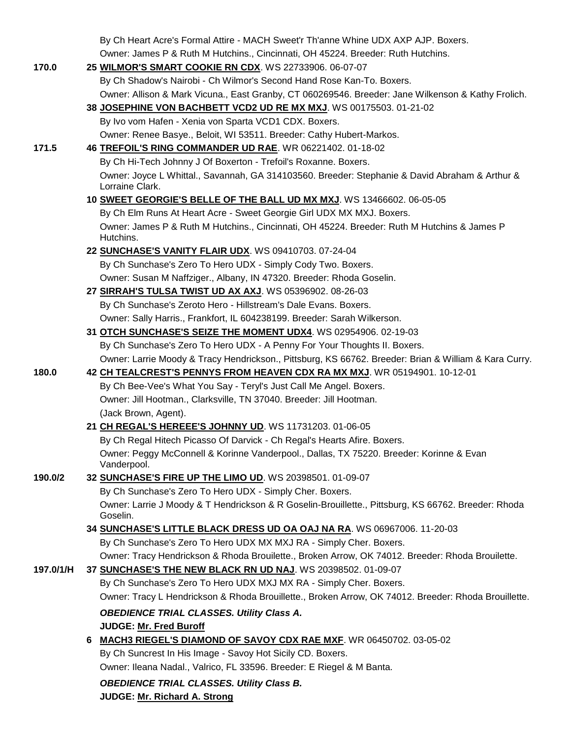|           |    | By Ch Heart Acre's Formal Attire - MACH Sweet'r Th'anne Whine UDX AXP AJP. Boxers.                                |
|-----------|----|-------------------------------------------------------------------------------------------------------------------|
|           |    | Owner: James P & Ruth M Hutchins., Cincinnati, OH 45224. Breeder: Ruth Hutchins.                                  |
| 170.0     |    | 25 WILMOR'S SMART COOKIE RN CDX. WS 22733906. 06-07-07                                                            |
|           |    | By Ch Shadow's Nairobi - Ch Wilmor's Second Hand Rose Kan-To. Boxers.                                             |
|           |    | Owner: Allison & Mark Vicuna., East Granby, CT 060269546. Breeder: Jane Wilkenson & Kathy Frolich.                |
|           |    | 38 JOSEPHINE VON BACHBETT VCD2 UD RE MX MXJ. WS 00175503. 01-21-02                                                |
|           |    | By Ivo vom Hafen - Xenia von Sparta VCD1 CDX. Boxers.                                                             |
|           |    | Owner: Renee Basye., Beloit, WI 53511. Breeder: Cathy Hubert-Markos.                                              |
| 171.5     |    | 46 TREFOIL'S RING COMMANDER UD RAE. WR 06221402. 01-18-02                                                         |
|           |    | By Ch Hi-Tech Johnny J Of Boxerton - Trefoil's Roxanne. Boxers.                                                   |
|           |    | Owner: Joyce L Whittal., Savannah, GA 314103560. Breeder: Stephanie & David Abraham & Arthur &<br>Lorraine Clark. |
|           |    | 10 SWEET GEORGIE'S BELLE OF THE BALL UD MX MXJ. WS 13466602. 06-05-05                                             |
|           |    | By Ch Elm Runs At Heart Acre - Sweet Georgie Girl UDX MX MXJ. Boxers.                                             |
|           |    | Owner: James P & Ruth M Hutchins., Cincinnati, OH 45224. Breeder: Ruth M Hutchins & James P<br>Hutchins.          |
|           |    | 22 SUNCHASE'S VANITY FLAIR UDX. WS 09410703. 07-24-04                                                             |
|           |    | By Ch Sunchase's Zero To Hero UDX - Simply Cody Two. Boxers.                                                      |
|           |    | Owner: Susan M Naffziger., Albany, IN 47320. Breeder: Rhoda Goselin.                                              |
|           |    | 27 SIRRAH'S TULSA TWIST UD AX AXJ. WS 05396902. 08-26-03                                                          |
|           |    | By Ch Sunchase's Zeroto Hero - Hillstream's Dale Evans. Boxers.                                                   |
|           |    | Owner: Sally Harris., Frankfort, IL 604238199. Breeder: Sarah Wilkerson.                                          |
|           |    | 31 OTCH SUNCHASE'S SEIZE THE MOMENT UDX4. WS 02954906. 02-19-03                                                   |
|           |    | By Ch Sunchase's Zero To Hero UDX - A Penny For Your Thoughts II. Boxers.                                         |
|           |    | Owner: Larrie Moody & Tracy Hendrickson., Pittsburg, KS 66762. Breeder: Brian & William & Kara Curry.             |
| 180.0     |    | 42 CH TEALCREST'S PENNYS FROM HEAVEN CDX RA MX MXJ. WR 05194901. 10-12-01                                         |
|           |    | By Ch Bee-Vee's What You Say - Teryl's Just Call Me Angel. Boxers.                                                |
|           |    | Owner: Jill Hootman., Clarksville, TN 37040. Breeder: Jill Hootman.                                               |
|           |    | (Jack Brown, Agent).                                                                                              |
|           |    | 21 CH REGAL'S HEREEE'S JOHNNY UD. WS 11731203. 01-06-05                                                           |
|           |    | By Ch Regal Hitech Picasso Of Darvick - Ch Regal's Hearts Afire. Boxers.                                          |
|           |    | Owner: Peggy McConnell & Korinne Vanderpool., Dallas, TX 75220. Breeder: Korinne & Evan<br>Vanderpool.            |
| 190.0/2   |    | 32 SUNCHASE'S FIRE UP THE LIMO UD. WS 20398501. 01-09-07                                                          |
|           |    | By Ch Sunchase's Zero To Hero UDX - Simply Cher. Boxers.                                                          |
|           |    | Owner: Larrie J Moody & T Hendrickson & R Goselin-Brouillette., Pittsburg, KS 66762. Breeder: Rhoda<br>Goselin.   |
|           |    | 34 SUNCHASE'S LITTLE BLACK DRESS UD OA OAJ NA RA. WS 06967006. 11-20-03                                           |
|           |    | By Ch Sunchase's Zero To Hero UDX MX MXJ RA - Simply Cher. Boxers.                                                |
|           |    | Owner: Tracy Hendrickson & Rhoda Brouilette., Broken Arrow, OK 74012. Breeder: Rhoda Brouilette.                  |
| 197.0/1/H |    | 37 SUNCHASE'S THE NEW BLACK RN UD NAJ. WS 20398502. 01-09-07                                                      |
|           |    | By Ch Sunchase's Zero To Hero UDX MXJ MX RA - Simply Cher. Boxers.                                                |
|           |    | Owner: Tracy L Hendrickson & Rhoda Brouillette., Broken Arrow, OK 74012. Breeder: Rhoda Brouillette.              |
|           |    | <b>OBEDIENCE TRIAL CLASSES. Utility Class A.</b>                                                                  |
|           |    | <b>JUDGE: Mr. Fred Buroff</b>                                                                                     |
|           | 6. | <b>MACH3 RIEGEL'S DIAMOND OF SAVOY CDX RAE MXF. WR 06450702. 03-05-02</b>                                         |
|           |    | By Ch Suncrest In His Image - Savoy Hot Sicily CD. Boxers.                                                        |
|           |    | Owner: Ileana Nadal., Valrico, FL 33596. Breeder: E Riegel & M Banta.                                             |
|           |    | <b>OBEDIENCE TRIAL CLASSES. Utility Class B.</b>                                                                  |
|           |    | JUDGE: Mr. Richard A. Strong                                                                                      |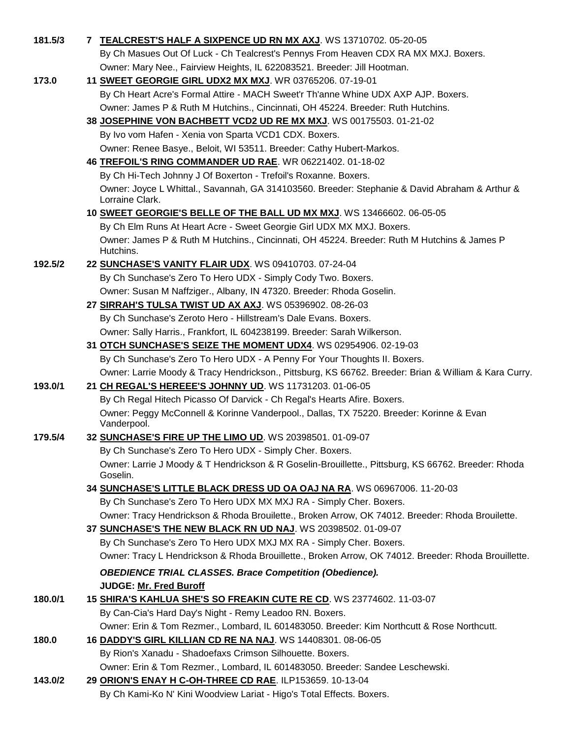| 181.5/3 | 7 TEALCREST'S HALF A SIXPENCE UD RN MX AXJ. WS 13710702. 05-20-05                                                                         |
|---------|-------------------------------------------------------------------------------------------------------------------------------------------|
|         | By Ch Masues Out Of Luck - Ch Tealcrest's Pennys From Heaven CDX RA MX MXJ. Boxers.                                                       |
|         | Owner: Mary Nee., Fairview Heights, IL 622083521. Breeder: Jill Hootman.                                                                  |
| 173.0   | 11 SWEET GEORGIE GIRL UDX2 MX MXJ. WR 03765206. 07-19-01                                                                                  |
|         | By Ch Heart Acre's Formal Attire - MACH Sweet'r Th'anne Whine UDX AXP AJP. Boxers.                                                        |
|         | Owner: James P & Ruth M Hutchins., Cincinnati, OH 45224. Breeder: Ruth Hutchins.                                                          |
|         | 38 JOSEPHINE VON BACHBETT VCD2 UD RE MX MXJ. WS 00175503. 01-21-02                                                                        |
|         | By Ivo vom Hafen - Xenia von Sparta VCD1 CDX. Boxers.                                                                                     |
|         | Owner: Renee Basye., Beloit, WI 53511. Breeder: Cathy Hubert-Markos.                                                                      |
|         | 46 TREFOIL'S RING COMMANDER UD RAE. WR 06221402. 01-18-02                                                                                 |
|         | By Ch Hi-Tech Johnny J Of Boxerton - Trefoil's Roxanne. Boxers.                                                                           |
|         | Owner: Joyce L Whittal., Savannah, GA 314103560. Breeder: Stephanie & David Abraham & Arthur &<br>Lorraine Clark.                         |
|         | 10 SWEET GEORGIE'S BELLE OF THE BALL UD MX MXJ. WS 13466602. 06-05-05                                                                     |
|         | By Ch Elm Runs At Heart Acre - Sweet Georgie Girl UDX MX MXJ. Boxers.                                                                     |
|         | Owner: James P & Ruth M Hutchins., Cincinnati, OH 45224. Breeder: Ruth M Hutchins & James P<br>Hutchins.                                  |
| 192.5/2 | 22 SUNCHASE'S VANITY FLAIR UDX. WS 09410703. 07-24-04                                                                                     |
|         | By Ch Sunchase's Zero To Hero UDX - Simply Cody Two. Boxers.                                                                              |
|         | Owner: Susan M Naffziger., Albany, IN 47320. Breeder: Rhoda Goselin.                                                                      |
|         | 27 SIRRAH'S TULSA TWIST UD AX AXJ. WS 05396902. 08-26-03                                                                                  |
|         | By Ch Sunchase's Zeroto Hero - Hillstream's Dale Evans. Boxers.                                                                           |
|         | Owner: Sally Harris., Frankfort, IL 604238199. Breeder: Sarah Wilkerson.                                                                  |
|         | 31 OTCH SUNCHASE'S SEIZE THE MOMENT UDX4. WS 02954906. 02-19-03                                                                           |
|         | By Ch Sunchase's Zero To Hero UDX - A Penny For Your Thoughts II. Boxers.                                                                 |
|         | Owner: Larrie Moody & Tracy Hendrickson., Pittsburg, KS 66762. Breeder: Brian & William & Kara Curry.                                     |
| 193.0/1 | 21 CH REGAL'S HEREEE'S JOHNNY UD. WS 11731203. 01-06-05                                                                                   |
|         | By Ch Regal Hitech Picasso Of Darvick - Ch Regal's Hearts Afire. Boxers.                                                                  |
|         | Owner: Peggy McConnell & Korinne Vanderpool., Dallas, TX 75220. Breeder: Korinne & Evan<br>Vanderpool.                                    |
| 179.5/4 | 32 SUNCHASE'S FIRE UP THE LIMO UD. WS 20398501. 01-09-07                                                                                  |
|         | By Ch Sunchase's Zero To Hero UDX - Simply Cher. Boxers.                                                                                  |
|         | Owner: Larrie J Moody & T Hendrickson & R Goselin-Brouillette., Pittsburg, KS 66762. Breeder: Rhoda<br>Goselin.                           |
|         | 34 SUNCHASE'S LITTLE BLACK DRESS UD OA OAJ NA RA. WS 06967006. 11-20-03                                                                   |
|         | By Ch Sunchase's Zero To Hero UDX MX MXJ RA - Simply Cher. Boxers.                                                                        |
|         | Owner: Tracy Hendrickson & Rhoda Brouilette., Broken Arrow, OK 74012. Breeder: Rhoda Brouilette.                                          |
|         | 37 SUNCHASE'S THE NEW BLACK RN UD NAJ. WS 20398502. 01-09-07                                                                              |
|         | By Ch Sunchase's Zero To Hero UDX MXJ MX RA - Simply Cher. Boxers.                                                                        |
|         | Owner: Tracy L Hendrickson & Rhoda Brouillette., Broken Arrow, OK 74012. Breeder: Rhoda Brouillette.                                      |
|         | <b>OBEDIENCE TRIAL CLASSES. Brace Competition (Obedience).</b>                                                                            |
|         | <b>JUDGE: Mr. Fred Buroff</b>                                                                                                             |
| 180.0/1 | 15 SHIRA'S KAHLUA SHE'S SO FREAKIN CUTE RE CD. WS 23774602. 11-03-07                                                                      |
|         | By Can-Cia's Hard Day's Night - Remy Leadoo RN. Boxers.                                                                                   |
|         | Owner: Erin & Tom Rezmer., Lombard, IL 601483050. Breeder: Kim Northcutt & Rose Northcutt.                                                |
| 180.0   | 16 DADDY'S GIRL KILLIAN CD RE NA NAJ. WS 14408301. 08-06-05                                                                               |
|         | By Rion's Xanadu - Shadoefaxs Crimson Silhouette. Boxers.                                                                                 |
| 143.0/2 | Owner: Erin & Tom Rezmer., Lombard, IL 601483050. Breeder: Sandee Leschewski.<br>29 ORION'S ENAY H C-OH-THREE CD RAE. ILP153659. 10-13-04 |
|         | By Ch Kami-Ko N' Kini Woodview Lariat - Higo's Total Effects. Boxers.                                                                     |
|         |                                                                                                                                           |